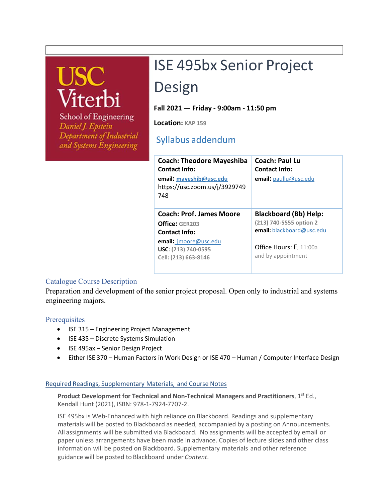# USC<br>Viterl

**School of Engineering** Daniel J. Epstein Department of Industrial and Systems Engineering

# ISE 495bx Senior Project

## Design

**Fall 2021 — Friday - 9:00am - 11:50 pm** 

**Location: KAP 159**

### Syllabus addendum

| <b>Coach: Theodore Mayeshiba</b><br>Contact Info:<br>email: mayeshib@usc.edu<br>https://usc.zoom.us/j/3929749<br>748                              | Coach: Paul Lu<br><b>Contact Info:</b><br><b>email:</b> paullu@usc.edu                                                                |
|---------------------------------------------------------------------------------------------------------------------------------------------------|---------------------------------------------------------------------------------------------------------------------------------------|
| <b>Coach: Prof. James Moore</b><br>Office: GER203<br><b>Contact Info:</b><br>email: imoore@usc.edu<br>USC: (213) 740-0595<br>Cell: (213) 663-8146 | <b>Blackboard (Bb) Help:</b><br>(213) 740-5555 option 2<br>email: blackboard@usc.edu<br>Office Hours: F, 11:00a<br>and by appointment |

#### Catalogue Course Description

Preparation and development of the senior project proposal. Open only to industrial and systems engineering majors.

#### **Prerequisites**

- ISE 315 Engineering Project Management
- ISE 435 Discrete Systems Simulation
- ISE 495ax Senior Design Project
- Either ISE 370 Human Factors in Work Design or ISE 470 Human / Computer Interface Design

#### Required Readings, Supplementary Materials, and Course Notes

Product Development for Technical and Non-Technical Managers and Practitioners, 1<sup>st</sup> Ed., Kendall Hunt (2021), ISBN: 978-1-7924-7707-2.

ISE 495bx is Web-Enhanced with high reliance on Blackboard. Readings and supplementary materials will be posted to Blackboard as needed, accompanied by a posting on Announcements. All assignments will be submitted via Blackboard. No assignments will be accepted by email or paper unless arrangements have been made in advance. Copies of lecture slides and other class information will be posted on Blackboard. Supplementary materials and other reference guidance will be posted to Blackboard under *Content*.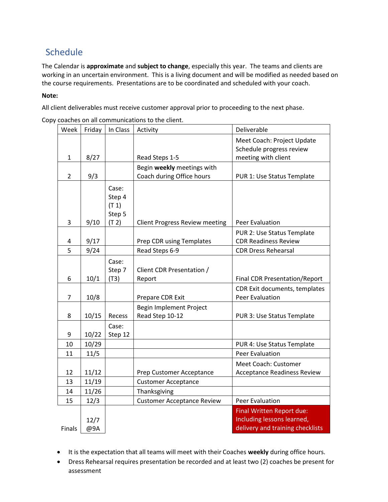## Schedule

The Calendar is **approximate** and **subject to change**, especially this year. The teams and clients are working in an uncertain environment. This is a living document and will be modified as needed based on the course requirements. Presentations are to be coordinated and scheduled with your coach.

#### **Note:**

All client deliverables must receive customer approval prior to proceeding to the next phase.

|  | Copy coaches on all communications to the client. |  |
|--|---------------------------------------------------|--|
|  |                                                   |  |

| Week           | Friday | In Class | Activity                              | Deliverable                          |
|----------------|--------|----------|---------------------------------------|--------------------------------------|
|                |        |          |                                       | Meet Coach: Project Update           |
|                |        |          |                                       | Schedule progress review             |
| 1              | 8/27   |          | Read Steps 1-5                        | meeting with client                  |
|                |        |          | Begin weekly meetings with            |                                      |
| $\overline{2}$ | 9/3    |          | Coach during Office hours             | PUR 1: Use Status Template           |
|                |        | Case:    |                                       |                                      |
|                |        | Step 4   |                                       |                                      |
|                |        | (T 1)    |                                       |                                      |
|                |        | Step 5   |                                       |                                      |
| 3              | 9/10   | (T 2)    | <b>Client Progress Review meeting</b> | <b>Peer Evaluation</b>               |
|                |        |          |                                       | PUR 2: Use Status Template           |
| 4              | 9/17   |          | Prep CDR using Templates              | <b>CDR Readiness Review</b>          |
| 5              | 9/24   |          | Read Steps 6-9                        | <b>CDR Dress Rehearsal</b>           |
|                |        | Case:    |                                       |                                      |
|                |        | Step 7   | Client CDR Presentation /             |                                      |
| 6              | 10/1   | (T3)     | Report                                | <b>Final CDR Presentation/Report</b> |
|                |        |          |                                       | CDR Exit documents, templates        |
| 7              | 10/8   |          | Prepare CDR Exit                      | <b>Peer Evaluation</b>               |
|                |        |          | Begin Implement Project               |                                      |
| 8              | 10/15  | Recess   | Read Step 10-12                       | PUR 3: Use Status Template           |
|                |        | Case:    |                                       |                                      |
| 9              | 10/22  | Step 12  |                                       |                                      |
| 10             | 10/29  |          |                                       | PUR 4: Use Status Template           |
| 11             | 11/5   |          |                                       | <b>Peer Evaluation</b>               |
|                |        |          |                                       | Meet Coach: Customer                 |
| 12             | 11/12  |          | Prep Customer Acceptance              | <b>Acceptance Readiness Review</b>   |
| 13             | 11/19  |          | <b>Customer Acceptance</b>            |                                      |
| 14             | 11/26  |          | Thanksgiving                          |                                      |
| 15             | 12/3   |          | <b>Customer Acceptance Review</b>     | <b>Peer Evaluation</b>               |
|                |        |          |                                       | Final Written Report due:            |
|                | 12/7   |          |                                       | Including lessons learned,           |
| Finals         | @9A    |          |                                       | delivery and training checklists     |

- It is the expectation that all teams will meet with their Coaches **weekly** during office hours.
- Dress Rehearsal requires presentation be recorded and at least two (2) coaches be present for assessment